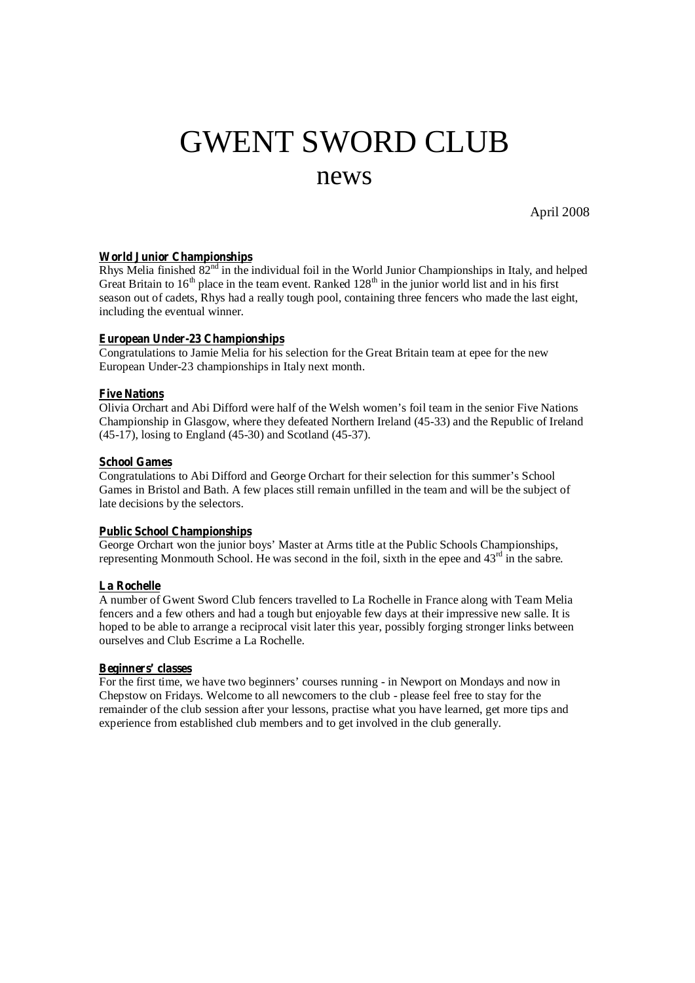# GWENT SWORD CLUB news

April 2008

## **World Junior Championships**

Rhys Melia finished 82<sup>nd</sup> in the individual foil in the World Junior Championships in Italy, and helped Great Britain to  $16<sup>th</sup>$  place in the team event. Ranked  $128<sup>th</sup>$  in the junior world list and in his first season out of cadets, Rhys had a really tough pool, containing three fencers who made the last eight, including the eventual winner.

## **European Under-23 Championships**

Congratulations to Jamie Melia for his selection for the Great Britain team at epee for the new European Under-23 championships in Italy next month.

## **Five Nations**

Olivia Orchart and Abi Difford were half of the Welsh women's foil team in the senior Five Nations Championship in Glasgow, where they defeated Northern Ireland (45-33) and the Republic of Ireland (45-17), losing to England (45-30) and Scotland (45-37).

## **School Games**

Congratulations to Abi Difford and George Orchart for their selection for this summer's School Games in Bristol and Bath. A few places still remain unfilled in the team and will be the subject of late decisions by the selectors.

## **Public School Championships**

George Orchart won the junior boys' Master at Arms title at the Public Schools Championships, representing Monmouth School. He was second in the foil, sixth in the epee and  $43<sup>rd</sup>$  in the sabre.

## **La Rochelle**

A number of Gwent Sword Club fencers travelled to La Rochelle in France along with Team Melia fencers and a few others and had a tough but enjoyable few days at their impressive new salle. It is hoped to be able to arrange a reciprocal visit later this year, possibly forging stronger links between ourselves and Club Escrime a La Rochelle.

#### **Beginners' classes**

For the first time, we have two beginners' courses running - in Newport on Mondays and now in Chepstow on Fridays. Welcome to all newcomers to the club - please feel free to stay for the remainder of the club session after your lessons, practise what you have learned, get more tips and experience from established club members and to get involved in the club generally.